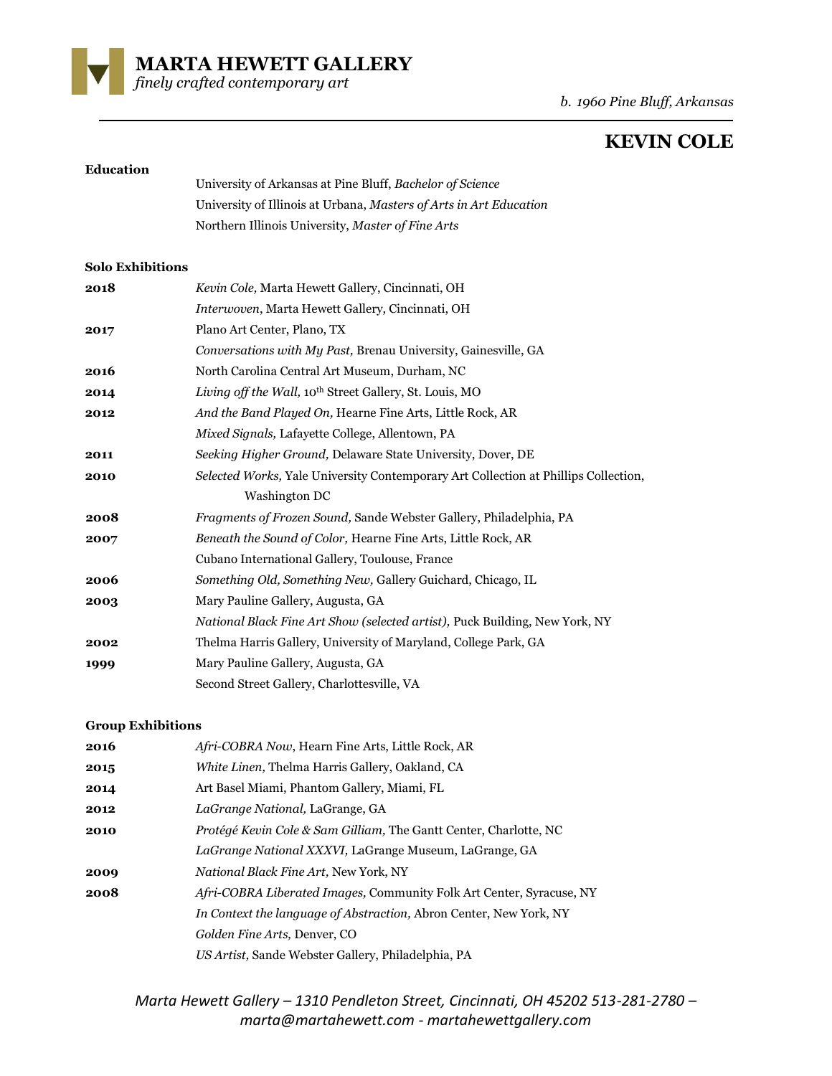

*b. 1960 Pine Bluff, Arkansas*

# **KEVIN COLE**

#### **Education**

| University of Arkansas at Pine Bluff, Bachelor of Science          |
|--------------------------------------------------------------------|
| University of Illinois at Urbana, Masters of Arts in Art Education |
| Northern Illinois University, Master of Fine Arts                  |

#### **Solo Exhibitions**

| 2018 | Kevin Cole, Marta Hewett Gallery, Cincinnati, OH                                    |
|------|-------------------------------------------------------------------------------------|
|      | Interwoven, Marta Hewett Gallery, Cincinnati, OH                                    |
| 2017 | Plano Art Center, Plano, TX                                                         |
|      | Conversations with My Past, Brenau University, Gainesville, GA                      |
| 2016 | North Carolina Central Art Museum, Durham, NC                                       |
| 2014 | Living off the Wall, 10 <sup>th</sup> Street Gallery, St. Louis, MO                 |
| 2012 | And the Band Played On, Hearne Fine Arts, Little Rock, AR                           |
|      | Mixed Signals, Lafayette College, Allentown, PA                                     |
| 2011 | Seeking Higher Ground, Delaware State University, Dover, DE                         |
| 2010 | Selected Works, Yale University Contemporary Art Collection at Phillips Collection, |
|      | Washington DC                                                                       |
| 2008 | Fragments of Frozen Sound, Sande Webster Gallery, Philadelphia, PA                  |
| 2007 | Beneath the Sound of Color, Hearne Fine Arts, Little Rock, AR                       |
|      | Cubano International Gallery, Toulouse, France                                      |
| 2006 | Something Old, Something New, Gallery Guichard, Chicago, IL                         |
| 2003 | Mary Pauline Gallery, Augusta, GA                                                   |
|      | National Black Fine Art Show (selected artist), Puck Building, New York, NY         |
| 2002 | Thelma Harris Gallery, University of Maryland, College Park, GA                     |
| 1999 | Mary Pauline Gallery, Augusta, GA                                                   |
|      | Second Street Gallery, Charlottesville, VA                                          |

## **Group Exhibitions**

| 2016 | Afri-COBRA Now, Hearn Fine Arts, Little Rock, AR                            |
|------|-----------------------------------------------------------------------------|
| 2015 | White Linen, Thelma Harris Gallery, Oakland, CA                             |
| 2014 | Art Basel Miami, Phantom Gallery, Miami, FL                                 |
| 2012 | LaGrange National, LaGrange, GA                                             |
| 2010 | Protégé Kevin Cole & Sam Gilliam, The Gantt Center, Charlotte, NC           |
|      | LaGrange National XXXVI, LaGrange Museum, LaGrange, GA                      |
| 2009 | <i>National Black Fine Art</i> , New York, NY                               |
| 2008 | <i>Afri-COBRA Liberated Images, Community Folk Art Center, Syracuse, NY</i> |
|      | <i>In Context the language of Abstraction, Abron Center, New York, NY</i>   |
|      | Golden Fine Arts, Denver, CO                                                |
|      | US Artist, Sande Webster Gallery, Philadelphia, PA                          |

*Marta Hewett Gallery – 1310 Pendleton Street, Cincinnati, OH 45202 513-281-2780 – marta@martahewett.com - martahewettgallery.com*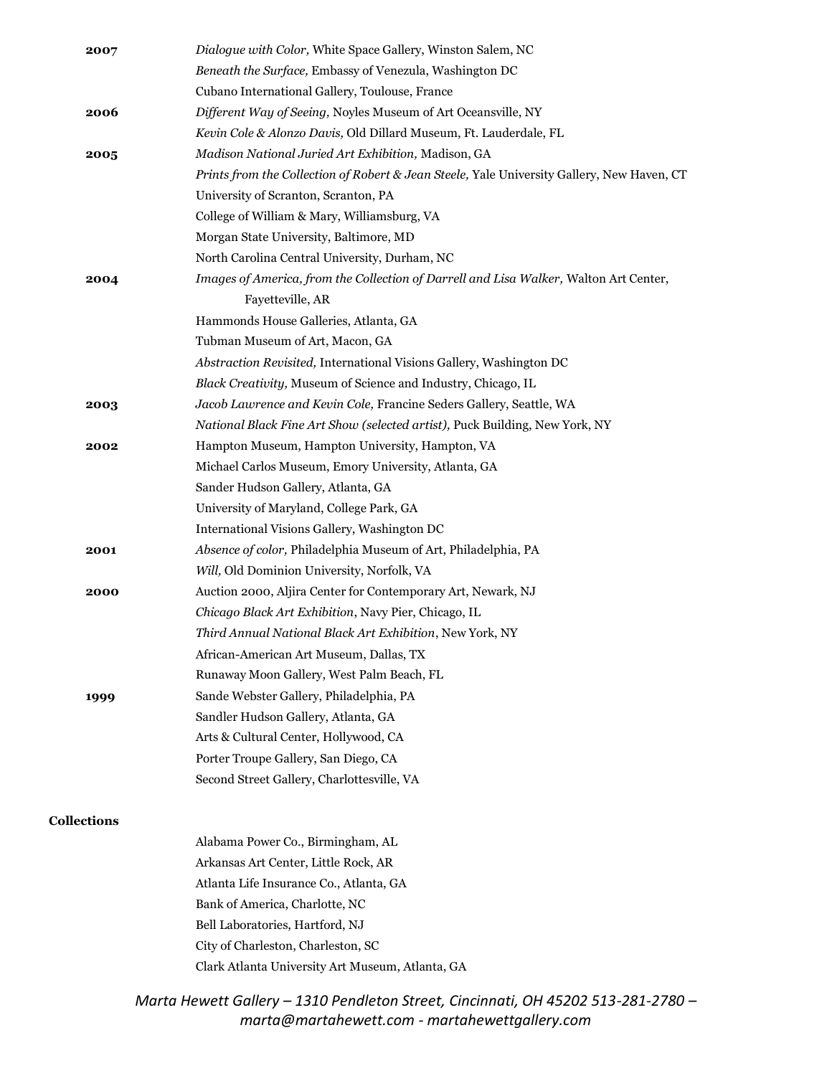| 2007               | Dialogue with Color, White Space Gallery, Winston Salem, NC                                |
|--------------------|--------------------------------------------------------------------------------------------|
|                    | Beneath the Surface, Embassy of Venezula, Washington DC                                    |
|                    | Cubano International Gallery, Toulouse, France                                             |
| 2006               | Different Way of Seeing, Noyles Museum of Art Oceansville, NY                              |
|                    | Kevin Cole & Alonzo Davis, Old Dillard Museum, Ft. Lauderdale, FL                          |
| 2005               | Madison National Juried Art Exhibition, Madison, GA                                        |
|                    | Prints from the Collection of Robert & Jean Steele, Yale University Gallery, New Haven, CT |
|                    | University of Scranton, Scranton, PA                                                       |
|                    | College of William & Mary, Williamsburg, VA                                                |
|                    | Morgan State University, Baltimore, MD                                                     |
|                    | North Carolina Central University, Durham, NC                                              |
| 2004               | Images of America, from the Collection of Darrell and Lisa Walker, Walton Art Center,      |
|                    | Fayetteville, AR                                                                           |
|                    | Hammonds House Galleries, Atlanta, GA                                                      |
|                    | Tubman Museum of Art, Macon, GA                                                            |
|                    | Abstraction Revisited, International Visions Gallery, Washington DC                        |
|                    | Black Creativity, Museum of Science and Industry, Chicago, IL                              |
| 2003               | Jacob Lawrence and Kevin Cole, Francine Seders Gallery, Seattle, WA                        |
|                    | National Black Fine Art Show (selected artist), Puck Building, New York, NY                |
| 2002               | Hampton Museum, Hampton University, Hampton, VA                                            |
|                    | Michael Carlos Museum, Emory University, Atlanta, GA                                       |
|                    | Sander Hudson Gallery, Atlanta, GA                                                         |
|                    | University of Maryland, College Park, GA                                                   |
|                    | International Visions Gallery, Washington DC                                               |
| 2001               | Absence of color, Philadelphia Museum of Art, Philadelphia, PA                             |
|                    | Will, Old Dominion University, Norfolk, VA                                                 |
| 2000               | Auction 2000, Aljira Center for Contemporary Art, Newark, NJ                               |
|                    | Chicago Black Art Exhibition, Navy Pier, Chicago, IL                                       |
|                    | Third Annual National Black Art Exhibition, New York, NY                                   |
|                    | African-American Art Museum, Dallas, TX                                                    |
|                    | Runaway Moon Gallery, West Palm Beach, FL                                                  |
| 1999               | Sande Webster Gallery, Philadelphia, PA                                                    |
|                    | Sandler Hudson Gallery, Atlanta, GA                                                        |
|                    | Arts & Cultural Center, Hollywood, CA                                                      |
|                    | Porter Troupe Gallery, San Diego, CA                                                       |
|                    | Second Street Gallery, Charlottesville, VA                                                 |
| <b>Collections</b> |                                                                                            |
|                    | Alabama Power Co., Birmingham, AL                                                          |
|                    | Arkansas Art Center, Little Rock, AR                                                       |
|                    | Atlanta Life Insurance Co., Atlanta, GA                                                    |
|                    | Bank of America, Charlotte, NC                                                             |
|                    | Bell Laboratories, Hartford, NJ                                                            |
|                    | City of Charleston, Charleston, SC                                                         |
|                    | Clark Atlanta University Art Museum, Atlanta, GA                                           |
|                    |                                                                                            |

*Marta Hewett Gallery – 1310 Pendleton Street, Cincinnati, OH 45202 513-281-2780 – marta@martahewett.com - martahewettgallery.com*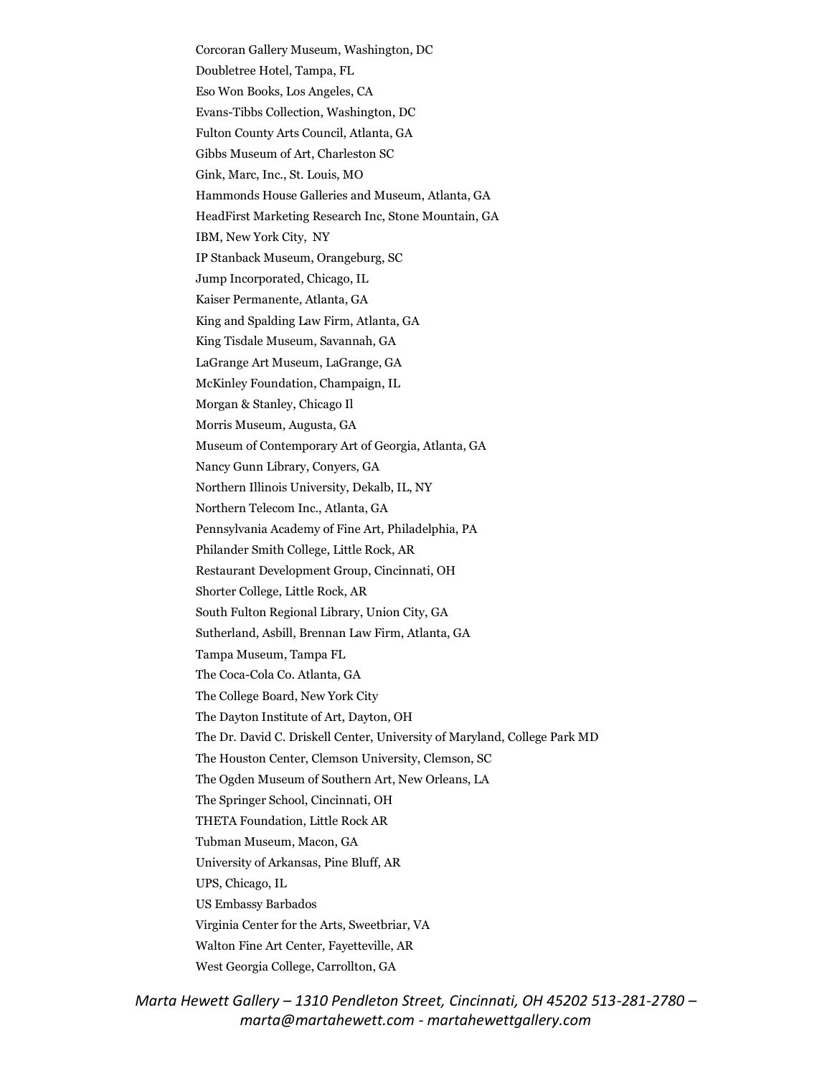Corcoran Gallery Museum, Washington, DC Doubletree Hotel, Tampa, FL Eso Won Books, Los Angeles, CA Evans-Tibbs Collection, Washington, DC Fulton County Arts Council, Atlanta, GA Gibbs Museum of Art, Charleston SC Gink, Marc, Inc., St. Louis, MO Hammonds House Galleries and Museum, Atlanta, GA HeadFirst Marketing Research Inc, Stone Mountain, GA IBM, New York City, NY IP Stanback Museum, Orangeburg, SC Jump Incorporated, Chicago, IL Kaiser Permanente, Atlanta, GA King and Spalding Law Firm, Atlanta, GA King Tisdale Museum, Savannah, GA LaGrange Art Museum, LaGrange, GA McKinley Foundation, Champaign, IL Morgan & Stanley, Chicago Il Morris Museum, Augusta, GA Museum of Contemporary Art of Georgia, Atlanta, GA Nancy Gunn Library, Conyers, GA Northern Illinois University, Dekalb, IL, NY Northern Telecom Inc., Atlanta, GA Pennsylvania Academy of Fine Art, Philadelphia, PA Philander Smith College, Little Rock, AR Restaurant Development Group, Cincinnati, OH Shorter College, Little Rock, AR South Fulton Regional Library, Union City, GA Sutherland, Asbill, Brennan Law Firm, Atlanta, GA Tampa Museum, Tampa FL The Coca-Cola Co. Atlanta, GA The College Board, New York City The Dayton Institute of Art, Dayton, OH The Dr. David C. Driskell Center, University of Maryland, College Park MD The Houston Center, Clemson University, Clemson, SC The Ogden Museum of Southern Art, New Orleans, LA The Springer School, Cincinnati, OH THETA Foundation, Little Rock AR Tubman Museum, Macon, GA University of Arkansas, Pine Bluff, AR UPS, Chicago, IL US Embassy Barbados Virginia Center for the Arts, Sweetbriar, VA Walton Fine Art Center, Fayetteville, AR West Georgia College, Carrollton, GA

*Marta Hewett Gallery – 1310 Pendleton Street, Cincinnati, OH 45202 513-281-2780 – marta@martahewett.com - martahewettgallery.com*